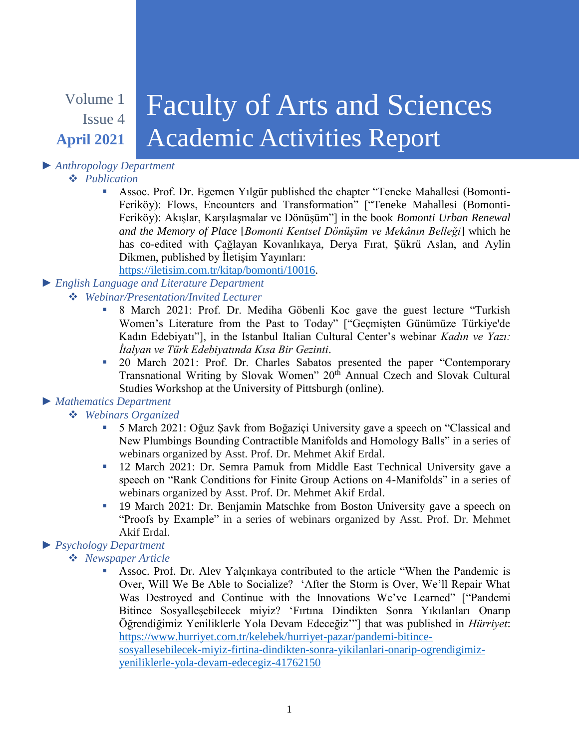# Volume 1 Issue 4 **April 2021**

# Faculty of Arts and Sciences Academic Activities Report

# *► Anthropology Department*

#### *Publication*

 Assoc. Prof. Dr. Egemen Yılgür published the chapter "Teneke Mahallesi (Bomonti-Feriköy): Flows, Encounters and Transformation" ["Teneke Mahallesi (Bomonti-Feriköy): Akışlar, Karşılaşmalar ve Dönüşüm"] in the book *Bomonti Urban Renewal and the Memory of Place* [*Bomonti Kentsel Dönüşüm ve Mekânın Belleği*] which he has co-edited with Çağlayan Kovanlıkaya, Derya Fırat, Şükrü Aslan, and Aylin Dikmen, published by İletişim Yayınları:

[https://iletisim.com.tr/kitap/bomonti/10016.](https://iletisim.com.tr/kitap/bomonti/10016)

## *► English Language and Literature Department*

### *Webinar/Presentation/Invited Lecturer*

- 8 March 2021: Prof. Dr. Mediha Göbenli Koc gave the guest lecture "Turkish Women's Literature from the Past to Today" ["Geçmişten Günümüze Türkiye'de Kadın Edebiyatı"], in the Istanbul Italian Cultural Center's webinar *Kadın ve Yazı: İtalyan ve Türk Edebiyatında Kısa Bir Gezinti*.
- <sup>20</sup> March 2021: Prof. Dr. Charles Sabatos presented the paper "Contemporary Transnational Writing by Slovak Women" 20<sup>th</sup> Annual Czech and Slovak Cultural Studies Workshop at the University of Pittsburgh (online).

### *► Mathematics Department*

### *Webinars Organized*

- 5 March 2021: Oğuz Şavk from Boğaziçi University gave a speech on "Classical and New Plumbings Bounding Contractible Manifolds and Homology Balls" in a series of webinars organized by Asst. Prof. Dr. Mehmet Akif Erdal.
- 12 March 2021: Dr. Semra Pamuk from Middle East Technical University gave a speech on "Rank Conditions for Finite Group Actions on 4-Manifolds" in a series of webinars organized by Asst. Prof. Dr. Mehmet Akif Erdal.
- <sup>19</sup> March 2021: Dr. Benjamin Matschke from Boston University gave a speech on "Proofs by Example" in a series of webinars organized by Asst. Prof. Dr. Mehmet Akif Erdal.

## *► Psychology Department*

- *Newspaper Article*
	- Assoc. Prof. Dr. Alev Yalçınkaya contributed to the article "When the Pandemic is Over, Will We Be Able to Socialize? 'After the Storm is Over, We'll Repair What Was Destroyed and Continue with the Innovations We've Learned" ["Pandemi Bitince Sosyalleşebilecek miyiz? 'Fırtına Dindikten Sonra Yıkılanları Onarıp Öğrendiğimiz Yeniliklerle Yola Devam Edeceğiz'"] that was published in *Hürriyet*: [https://www.hurriyet.com.tr/kelebek/hurriyet-pazar/pandemi-bitince](https://www.hurriyet.com.tr/kelebek/hurriyet-pazar/pandemi-bitince-sosyallesebilecek-miyiz-firtina-dindikten-sonra-yikilanlari-onarip-ogrendigimiz-yeniliklerle-yola-devam-edecegiz-41762150)[sosyallesebilecek-miyiz-firtina-dindikten-sonra-yikilanlari-onarip-ogrendigimiz](https://www.hurriyet.com.tr/kelebek/hurriyet-pazar/pandemi-bitince-sosyallesebilecek-miyiz-firtina-dindikten-sonra-yikilanlari-onarip-ogrendigimiz-yeniliklerle-yola-devam-edecegiz-41762150)[yeniliklerle-yola-devam-edecegiz-41762150](https://www.hurriyet.com.tr/kelebek/hurriyet-pazar/pandemi-bitince-sosyallesebilecek-miyiz-firtina-dindikten-sonra-yikilanlari-onarip-ogrendigimiz-yeniliklerle-yola-devam-edecegiz-41762150)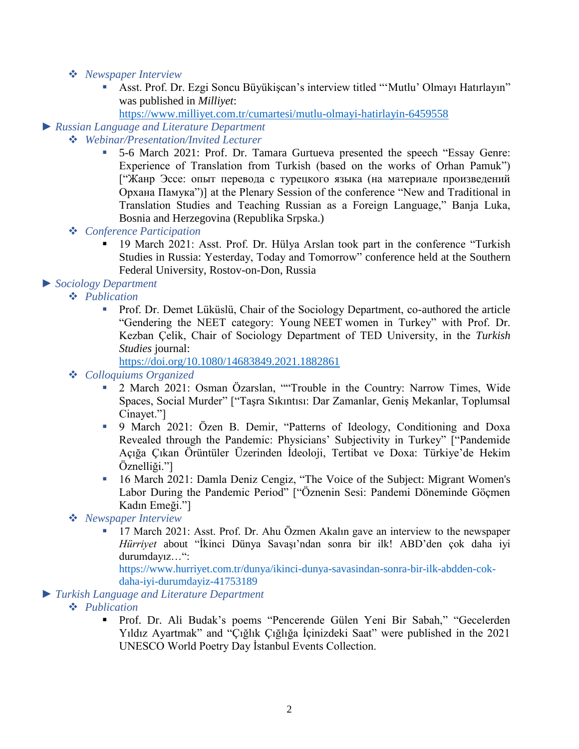- *Newspaper Interview*
	- Asst. Prof. Dr. Ezgi Soncu Büyükişcan's interview titled "'Mutlu' Olmayı Hatırlayın" was published in *Milliyet*:
		- <https://www.milliyet.com.tr/cumartesi/mutlu-olmayi-hatirlayin-6459558>

#### *► Russian Language and Literature Department*

- *Webinar/Presentation/Invited Lecturer*
	- 5-6 March 2021: Prof. Dr. Tamara Gurtueva presented the speech "Essay Genre: Experience of Translation from Turkish (based on the works of Orhan Pamuk") ["Жанр Эссе: опыт перевода с турецкого языка (на материале произведений Орхана Памука")] at the Plenary Session of the conference "New and Traditional in Translation Studies and Teaching Russian as a Foreign Language," Banja Luka, Bosnia and Herzegovina (Republika Srpska.)
	- *Conference Participation*
		- <sup>19</sup> March 2021: Asst. Prof. Dr. Hülya Arslan took part in the conference "Turkish Studies in Russia: Yesterday, Today and Tomorrow" conference held at the Southern Federal University, Rostov-on-Don, Russia

#### *► Sociology Department*

- *Publication*
	- Prof. Dr. Demet Lüküslü, Chair of the Sociology Department, co-authored the article "Gendering the NEET category: Young NEET women in Turkey" with Prof. Dr. Kezban Çelik, Chair of Sociology Department of TED University, in the *Turkish Studies* journal:

<https://doi.org/10.1080/14683849.2021.1882861>

#### *Colloquiums Organized*

- 2 March 2021: Osman Özarslan, ""Trouble in the Country: Narrow Times, Wide Spaces, Social Murder" ["Taşra Sıkıntısı: Dar Zamanlar, Geniş Mekanlar, Toplumsal Cinayet."]
- 9 March 2021: Özen B. Demir, "Patterns of Ideology, Conditioning and Doxa Revealed through the Pandemic: Physicians' Subjectivity in Turkey" ["Pandemide Açığa Çıkan Örüntüler Üzerinden İdeoloji, Tertibat ve Doxa: Türkiye'de Hekim Öznelliği."]
- 16 March 2021: Damla Deniz Cengiz, "The Voice of the Subject: Migrant Women's Labor During the Pandemic Period" ["Öznenin Sesi: Pandemi Döneminde Göçmen Kadın Emeği."]

#### *Newspaper Interview*

 17 March 2021: Asst. Prof. Dr. Ahu Özmen Akalın gave an interview to the newspaper *Hürriyet* about "İkinci Dünya Savaşı'ndan sonra bir ilk! ABD'den çok daha iyi durumdayız…":

https://www.hurriyet.com.tr/dunya/ikinci-dunya-savasindan-sonra-bir-ilk-abdden-cokdaha-iyi-durumdayiz-41753189

#### *► Turkish Language and Literature Department*

- *Publication*
	- Prof. Dr. Ali Budak's poems "Pencerende Gülen Yeni Bir Sabah," "Gecelerden Yıldız Ayartmak" and "Çığlık Çığlığa İçinizdeki Saat" were published in the 2021 UNESCO World Poetry Day İstanbul Events Collection.